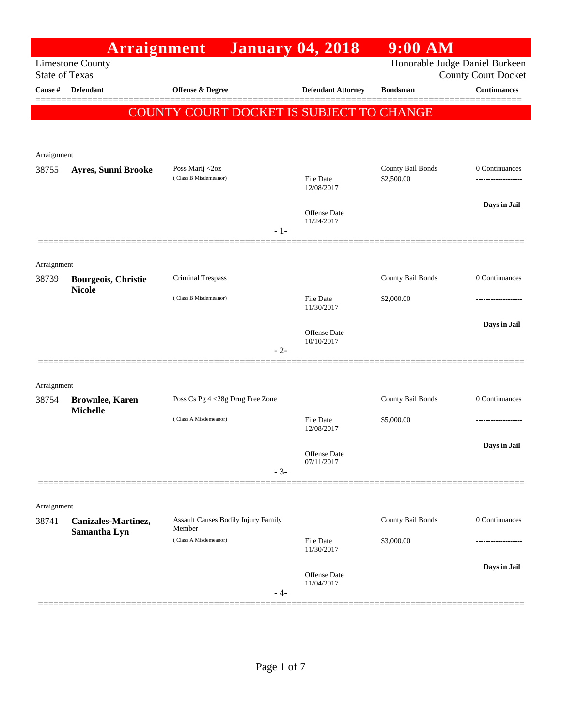|                       | Arraignment                                 |                                               |       | <b>January 04, 2018</b>                  | $9:00$ AM         |                                                              |
|-----------------------|---------------------------------------------|-----------------------------------------------|-------|------------------------------------------|-------------------|--------------------------------------------------------------|
| <b>State of Texas</b> | <b>Limestone County</b>                     |                                               |       |                                          |                   | Honorable Judge Daniel Burkeen<br><b>County Court Docket</b> |
| Cause #               | Defendant                                   | <b>Offense &amp; Degree</b>                   |       | <b>Defendant Attorney</b>                | <b>Bondsman</b>   | <b>Continuances</b><br>======                                |
|                       |                                             |                                               |       | COUNTY COURT DOCKET IS SUBJECT TO CHANGE |                   |                                                              |
|                       |                                             |                                               |       |                                          |                   |                                                              |
|                       |                                             |                                               |       |                                          |                   |                                                              |
| Arraignment<br>38755  | Ayres, Sunni Brooke                         | Poss Marij <2oz                               |       |                                          | County Bail Bonds | 0 Continuances                                               |
|                       |                                             | (Class B Misdemeanor)                         |       | <b>File Date</b><br>12/08/2017           | \$2,500.00        |                                                              |
|                       |                                             |                                               |       |                                          |                   | Days in Jail                                                 |
|                       |                                             |                                               | $-1-$ | <b>Offense Date</b><br>11/24/2017        |                   |                                                              |
|                       |                                             |                                               |       |                                          |                   |                                                              |
| Arraignment           |                                             |                                               |       |                                          |                   |                                                              |
| 38739                 | <b>Bourgeois, Christie</b><br><b>Nicole</b> | Criminal Trespass                             |       |                                          | County Bail Bonds | 0 Continuances                                               |
|                       |                                             | (Class B Misdemeanor)                         |       | File Date<br>11/30/2017                  | \$2,000.00        |                                                              |
|                       |                                             |                                               |       |                                          |                   | Days in Jail                                                 |
|                       |                                             |                                               | $-2-$ | <b>Offense Date</b><br>10/10/2017        |                   |                                                              |
|                       |                                             |                                               |       |                                          |                   |                                                              |
| Arraignment           |                                             |                                               |       |                                          |                   |                                                              |
| 38754                 | <b>Brownlee, Karen</b>                      | Poss Cs Pg 4 <28g Drug Free Zone              |       |                                          | County Bail Bonds | 0 Continuances                                               |
|                       | <b>Michelle</b>                             | (Class A Misdemeanor)                         |       | <b>File Date</b><br>12/08/2017           | \$5,000.00        | .                                                            |
|                       |                                             |                                               |       |                                          |                   | Days in Jail                                                 |
|                       |                                             |                                               |       | Offense Date<br>07/11/2017               |                   |                                                              |
|                       |                                             |                                               | $-3-$ |                                          |                   |                                                              |
|                       |                                             |                                               |       |                                          |                   |                                                              |
| Arraignment<br>38741  |                                             |                                               |       |                                          | County Bail Bonds | 0 Continuances                                               |
|                       | Canizales-Martinez,<br>Samantha Lyn         | Assault Causes Bodily Injury Family<br>Member |       |                                          |                   |                                                              |
|                       |                                             | (Class A Misdemeanor)                         |       | <b>File Date</b><br>11/30/2017           | \$3,000.00        |                                                              |
|                       |                                             |                                               |       |                                          |                   | Days in Jail                                                 |
|                       |                                             |                                               | - 4-  | <b>Offense Date</b><br>11/04/2017        |                   |                                                              |
|                       |                                             |                                               |       |                                          |                   |                                                              |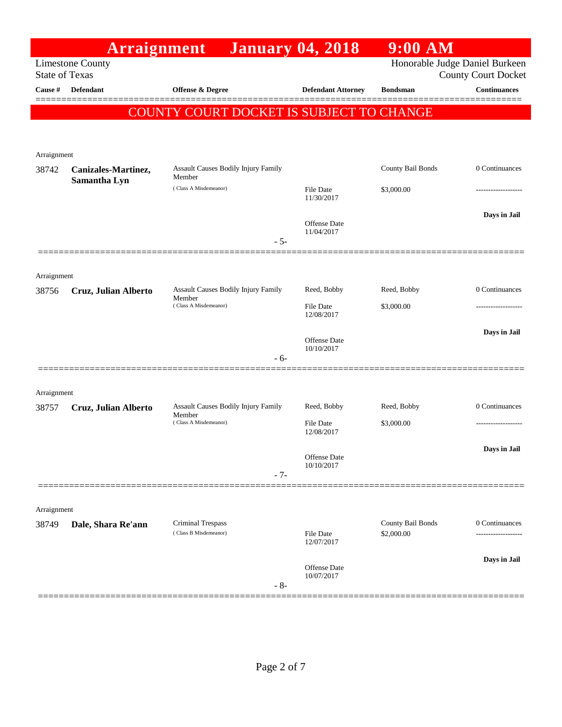|                       | <b>Arraignment</b>      |                                                                        | <b>January 04, 2018</b>                         | $9:00$ AM                       |                                                              |
|-----------------------|-------------------------|------------------------------------------------------------------------|-------------------------------------------------|---------------------------------|--------------------------------------------------------------|
| <b>State of Texas</b> | <b>Limestone County</b> |                                                                        |                                                 |                                 | Honorable Judge Daniel Burkeen<br><b>County Court Docket</b> |
| Cause #               | <b>Defendant</b>        | <b>Offense &amp; Degree</b>                                            | <b>Defendant Attorney</b>                       | <b>Bondsman</b>                 | <b>Continuances</b>                                          |
|                       |                         | COUNTY COURT DOCKET IS SUBJECT TO CHANGE                               |                                                 |                                 |                                                              |
| Arraignment           |                         |                                                                        |                                                 |                                 |                                                              |
| 38742                 | Canizales-Martinez,     | Assault Causes Bodily Injury Family<br>Member                          |                                                 | County Bail Bonds               | 0 Continuances                                               |
|                       | Samantha Lyn            | (Class A Misdemeanor)                                                  | File Date<br>11/30/2017                         | \$3,000.00                      |                                                              |
|                       |                         | $-5-$                                                                  | <b>Offense</b> Date<br>11/04/2017               |                                 | Days in Jail                                                 |
|                       |                         |                                                                        |                                                 |                                 |                                                              |
| Arraignment<br>38756  | Cruz, Julian Alberto    | Assault Causes Bodily Injury Family<br>Member<br>(Class A Misdemeanor) | Reed, Bobby<br>File Date                        | Reed, Bobby<br>\$3,000.00       | 0 Continuances<br>---------------                            |
|                       |                         | - 6-                                                                   | 12/08/2017<br><b>Offense</b> Date<br>10/10/2017 |                                 | Days in Jail                                                 |
| Arraignment           |                         |                                                                        |                                                 |                                 |                                                              |
| 38757                 | Cruz, Julian Alberto    | Assault Causes Bodily Injury Family                                    | Reed, Bobby                                     | Reed, Bobby                     | 0 Continuances                                               |
|                       |                         | Member<br>(Class A Misdemeanor)                                        | File Date<br>12/08/2017                         | \$3,000.00                      |                                                              |
|                       |                         | $-7-$                                                                  | Offense Date<br>10/10/2017                      |                                 | Days in Jail                                                 |
|                       |                         |                                                                        |                                                 |                                 |                                                              |
| Arraignment           |                         |                                                                        |                                                 |                                 |                                                              |
| 38749                 | Dale, Shara Re'ann      | Criminal Trespass<br>(Class B Misdemeanor)                             | <b>File Date</b><br>12/07/2017                  | County Bail Bonds<br>\$2,000.00 | 0 Continuances<br>------------                               |
|                       |                         | $-8-$                                                                  | Offense Date<br>10/07/2017                      |                                 | Days in Jail                                                 |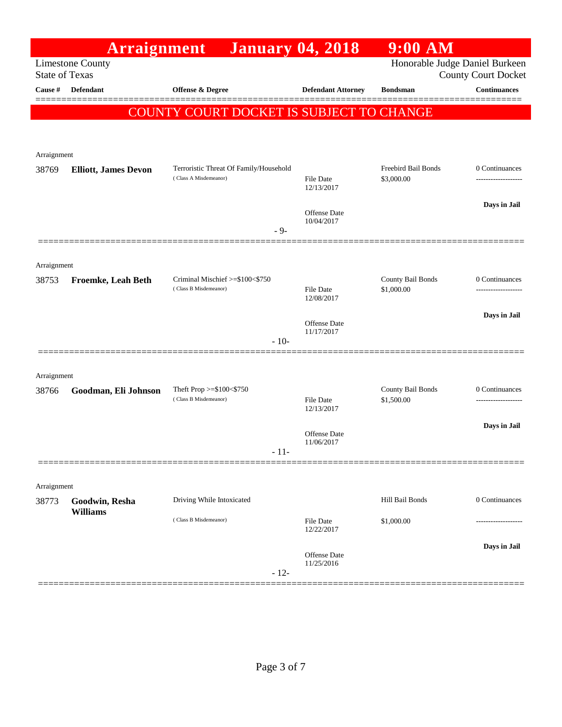|                                  | Arraignment                       | <b>January 04, 2018</b>                                         |                                | $9:00$ AM                         |                                    |
|----------------------------------|-----------------------------------|-----------------------------------------------------------------|--------------------------------|-----------------------------------|------------------------------------|
|                                  | <b>Limestone County</b>           | Honorable Judge Daniel Burkeen<br><b>County Court Docket</b>    |                                |                                   |                                    |
| <b>State of Texas</b><br>Cause # | Defendant                         | Offense & Degree                                                | <b>Defendant Attorney</b>      | <b>Bondsman</b>                   | <b>Continuances</b>                |
|                                  |                                   |                                                                 |                                |                                   |                                    |
|                                  |                                   | COUNTY COURT DOCKET IS SUBJECT TO CHANGE                        |                                |                                   |                                    |
|                                  |                                   |                                                                 |                                |                                   |                                    |
| Arraignment                      |                                   |                                                                 |                                |                                   |                                    |
| 38769                            | <b>Elliott, James Devon</b>       | Terroristic Threat Of Family/Household<br>(Class A Misdemeanor) | File Date                      | Freebird Bail Bonds<br>\$3,000.00 | 0 Continuances<br>---------------- |
|                                  |                                   |                                                                 | 12/13/2017                     |                                   |                                    |
|                                  |                                   |                                                                 | Offense Date                   |                                   | Days in Jail                       |
|                                  |                                   | $-9-$                                                           | 10/04/2017                     |                                   |                                    |
|                                  |                                   |                                                                 |                                |                                   |                                    |
| Arraignment                      |                                   |                                                                 |                                |                                   |                                    |
| 38753                            | Froemke, Leah Beth                | Criminal Mischief >=\$100<\$750                                 |                                | County Bail Bonds                 | 0 Continuances                     |
|                                  |                                   | (Class B Misdemeanor)                                           | <b>File Date</b><br>12/08/2017 | \$1,000.00                        |                                    |
|                                  |                                   |                                                                 |                                |                                   | Days in Jail                       |
|                                  |                                   |                                                                 | Offense Date<br>11/17/2017     |                                   |                                    |
|                                  |                                   | $-10-$                                                          |                                |                                   |                                    |
|                                  |                                   |                                                                 |                                |                                   |                                    |
| Arraignment<br>38766             | Goodman, Eli Johnson              | Theft Prop $>=$ \$100 $<$ \$750                                 |                                | County Bail Bonds                 | 0 Continuances                     |
|                                  |                                   | (Class B Misdemeanor)                                           | <b>File Date</b><br>12/13/2017 | \$1,500.00                        |                                    |
|                                  |                                   |                                                                 |                                |                                   | Days in Jail                       |
|                                  |                                   |                                                                 | Offense Date<br>11/06/2017     |                                   |                                    |
|                                  |                                   | - 11-                                                           |                                |                                   |                                    |
|                                  |                                   |                                                                 |                                |                                   |                                    |
| Arraignment                      |                                   |                                                                 |                                |                                   |                                    |
| 38773                            | Goodwin, Resha<br><b>Williams</b> | Driving While Intoxicated                                       |                                | Hill Bail Bonds                   | 0 Continuances                     |
|                                  |                                   | (Class B Misdemeanor)                                           | <b>File Date</b><br>12/22/2017 | \$1,000.00                        |                                    |
|                                  |                                   |                                                                 |                                |                                   | Days in Jail                       |
|                                  |                                   |                                                                 | Offense Date<br>11/25/2016     |                                   |                                    |
|                                  |                                   | $-12-$                                                          |                                |                                   |                                    |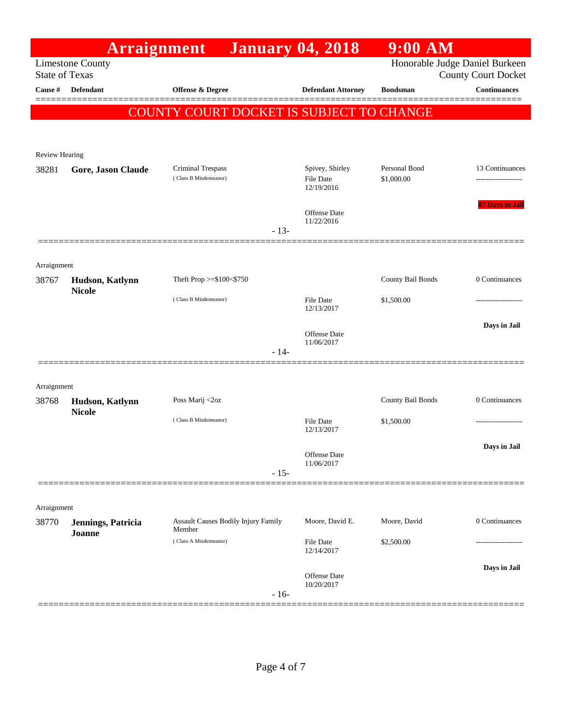|                                | Arraignment                  |                                               |        | <b>January 04, 2018</b>        | $9:00$ AM         |                                                              |
|--------------------------------|------------------------------|-----------------------------------------------|--------|--------------------------------|-------------------|--------------------------------------------------------------|
| <b>State of Texas</b>          | <b>Limestone County</b>      |                                               |        |                                |                   | Honorable Judge Daniel Burkeen<br><b>County Court Docket</b> |
| Cause #                        | <b>Defendant</b>             | Offense & Degree                              |        | <b>Defendant Attorney</b>      | <b>Bondsman</b>   | <b>Continuances</b>                                          |
|                                |                              | COUNTY COURT DOCKET IS SUBJECT TO CHANGE      |        |                                |                   |                                                              |
|                                |                              |                                               |        |                                |                   |                                                              |
|                                |                              |                                               |        |                                |                   |                                                              |
| <b>Review Hearing</b><br>38281 | Gore, Jason Claude           | Criminal Trespass                             |        | Spivey, Shirley                | Personal Bond     | 13 Continuances                                              |
|                                |                              | (Class B Misdemeanor)                         |        | File Date<br>12/19/2016        | \$1,000.00        |                                                              |
|                                |                              |                                               |        | <b>Offense</b> Date            |                   | 87 Days in Jail                                              |
|                                |                              |                                               | $-13-$ | 11/22/2016                     |                   |                                                              |
| Arraignment                    |                              |                                               |        |                                |                   |                                                              |
| 38767                          | Hudson, Katlynn              | Theft Prop $>= $100 < $750$                   |        |                                | County Bail Bonds | 0 Continuances                                               |
|                                | <b>Nicole</b>                | (Class B Misdemeanor)                         |        | <b>File Date</b><br>12/13/2017 | \$1,500.00        | .                                                            |
|                                |                              |                                               |        | <b>Offense</b> Date            |                   | Days in Jail                                                 |
|                                |                              |                                               | $-14-$ | 11/06/2017                     |                   |                                                              |
|                                |                              |                                               |        |                                |                   |                                                              |
| Arraignment                    |                              |                                               |        |                                |                   |                                                              |
| 38768                          | Hudson, Katlynn              | Poss Marij <2oz                               |        |                                | County Bail Bonds | 0 Continuances                                               |
|                                | <b>Nicole</b>                | (Class B Misdemeanor)                         |        | <b>File Date</b><br>12/13/2017 | \$1,500.00        | --------------                                               |
|                                |                              |                                               |        | Offense Date                   |                   | Days in Jail                                                 |
|                                |                              |                                               | $-15-$ | 11/06/2017                     |                   |                                                              |
|                                |                              |                                               |        |                                |                   |                                                              |
| Arraignment                    |                              |                                               |        |                                |                   |                                                              |
| 38770                          | Jennings, Patricia<br>Joanne | Assault Causes Bodily Injury Family<br>Member |        | Moore, David E.                | Moore, David      | 0 Continuances                                               |
|                                |                              | (Class A Misdemeanor)                         |        | File Date<br>12/14/2017        | \$2,500.00        |                                                              |
|                                |                              |                                               |        | <b>Offense</b> Date            |                   | Days in Jail                                                 |
|                                |                              |                                               | $-16-$ | 10/20/2017                     |                   |                                                              |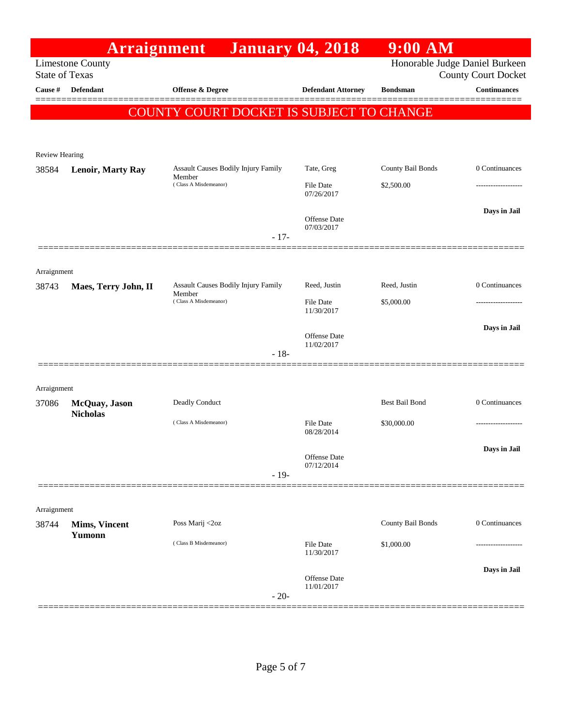|                         | <b>Arraignment</b>               |                                                      | <b>January 04, 2018</b>        | $9:00$ AM                      |                            |
|-------------------------|----------------------------------|------------------------------------------------------|--------------------------------|--------------------------------|----------------------------|
| <b>State of Texas</b>   | <b>Limestone County</b>          |                                                      |                                | Honorable Judge Daniel Burkeen | <b>County Court Docket</b> |
| Cause #                 | <b>Defendant</b>                 | Offense & Degree                                     | <b>Defendant Attorney</b>      | <b>Bondsman</b>                | <b>Continuances</b>        |
|                         |                                  | COUNTY COURT DOCKET IS SUBJECT TO CHANGE             |                                |                                |                            |
|                         |                                  |                                                      |                                |                                |                            |
|                         |                                  |                                                      |                                |                                |                            |
| Review Hearing<br>38584 | <b>Lenoir, Marty Ray</b>         | Assault Causes Bodily Injury Family                  | Tate, Greg                     | County Bail Bonds              | 0 Continuances             |
|                         |                                  | Member<br>(Class A Misdemeanor)                      | <b>File Date</b>               | \$2,500.00                     |                            |
|                         |                                  |                                                      | 07/26/2017                     |                                |                            |
|                         |                                  |                                                      | Offense Date                   |                                | Days in Jail               |
|                         |                                  | $-17-$                                               | 07/03/2017                     |                                |                            |
|                         |                                  |                                                      |                                |                                |                            |
| Arraignment             |                                  |                                                      |                                |                                |                            |
| 38743                   | Maes, Terry John, II             | <b>Assault Causes Bodily Injury Family</b><br>Member | Reed, Justin                   | Reed, Justin                   | 0 Continuances             |
|                         |                                  | (Class A Misdemeanor)                                | <b>File Date</b><br>11/30/2017 | \$5,000.00                     | ----------------           |
|                         |                                  |                                                      |                                |                                | Days in Jail               |
|                         |                                  |                                                      | Offense Date<br>11/02/2017     |                                |                            |
|                         |                                  | $-18-$                                               |                                |                                |                            |
|                         |                                  |                                                      |                                |                                |                            |
| Arraignment             |                                  |                                                      |                                | Best Bail Bond                 | 0 Continuances             |
| 37086                   | McQuay, Jason<br><b>Nicholas</b> | Deadly Conduct                                       |                                |                                |                            |
|                         |                                  | (Class A Misdemeanor)                                | File Date<br>08/28/2014        | \$30,000.00                    | .                          |
|                         |                                  |                                                      |                                |                                | Days in Jail               |
|                         |                                  |                                                      | Offense Date<br>07/12/2014     |                                |                            |
|                         |                                  | $-19-$                                               |                                |                                |                            |
|                         |                                  |                                                      |                                |                                |                            |
| Arraignment<br>38744    | Mims, Vincent                    | Poss Marij <2oz                                      |                                | County Bail Bonds              | 0 Continuances             |
|                         | Yumonn                           | (Class B Misdemeanor)                                | File Date                      |                                |                            |
|                         |                                  |                                                      | 11/30/2017                     | \$1,000.00                     |                            |
|                         |                                  |                                                      | Offense Date                   |                                | Days in Jail               |
|                         |                                  | $-20-$                                               | 11/01/2017                     |                                |                            |
|                         |                                  |                                                      |                                |                                |                            |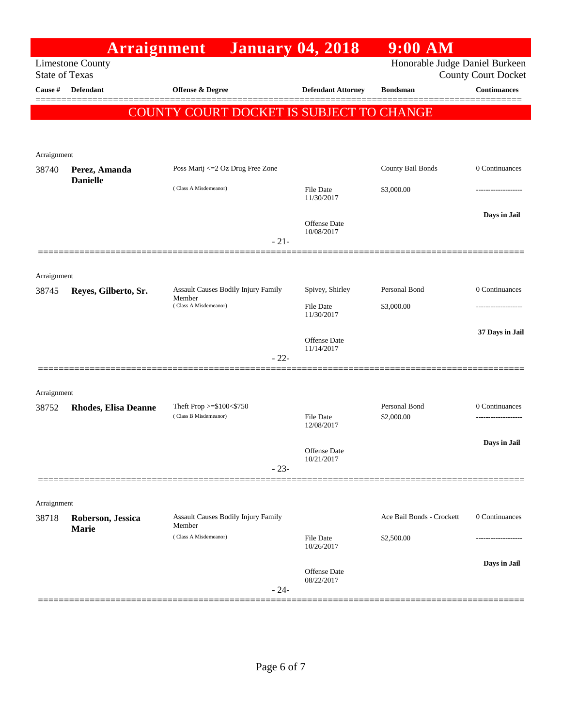|                       | Arraignment                       | <b>January 04, 2018</b>                                  |                                | $9:00$ AM                      |                            |
|-----------------------|-----------------------------------|----------------------------------------------------------|--------------------------------|--------------------------------|----------------------------|
| <b>State of Texas</b> | <b>Limestone County</b>           |                                                          |                                | Honorable Judge Daniel Burkeen | <b>County Court Docket</b> |
| Cause #               | <b>Defendant</b>                  | <b>Offense &amp; Degree</b>                              | <b>Defendant Attorney</b>      | <b>Bondsman</b>                | <b>Continuances</b>        |
|                       |                                   | COUNTY COURT DOCKET IS SUBJECT TO CHANGE                 |                                |                                |                            |
|                       |                                   |                                                          |                                |                                |                            |
| Arraignment           |                                   |                                                          |                                |                                |                            |
| 38740                 | Perez, Amanda                     | Poss Marij <= 2 Oz Drug Free Zone                        |                                | County Bail Bonds              | 0 Continuances             |
|                       | <b>Danielle</b>                   | (Class A Misdemeanor)                                    | <b>File Date</b><br>11/30/2017 | \$3,000.00                     |                            |
|                       |                                   | $-21-$                                                   | Offense Date<br>10/08/2017     |                                | Days in Jail               |
|                       |                                   |                                                          |                                |                                |                            |
| Arraignment           |                                   |                                                          |                                |                                |                            |
| 38745                 | Reyes, Gilberto, Sr.              | Assault Causes Bodily Injury Family<br>Member            | Spivey, Shirley                | Personal Bond                  | 0 Continuances             |
|                       |                                   | (Class A Misdemeanor)                                    | <b>File Date</b><br>11/30/2017 | \$3,000.00                     | .                          |
|                       |                                   |                                                          | Offense Date                   |                                | 37 Days in Jail            |
|                       |                                   | $-22-$                                                   | 11/14/2017                     |                                |                            |
| Arraignment           |                                   |                                                          |                                |                                |                            |
| 38752                 | <b>Rhodes, Elisa Deanne</b>       | Theft Prop $>=$ \$100 $<$ \$750<br>(Class B Misdemeanor) | <b>File Date</b><br>12/08/2017 | Personal Bond<br>\$2,000.00    | 0 Continuances<br>.        |
|                       |                                   |                                                          |                                |                                | Days in Jail               |
|                       |                                   | $-23-$                                                   | Offense Date<br>10/21/2017     |                                |                            |
|                       |                                   |                                                          |                                |                                |                            |
| Arraignment           |                                   |                                                          |                                |                                |                            |
| 38718                 | Roberson, Jessica<br><b>Marie</b> | <b>Assault Causes Bodily Injury Family</b><br>Member     |                                | Ace Bail Bonds - Crockett      | 0 Continuances             |
|                       |                                   | (Class A Misdemeanor)                                    | <b>File Date</b><br>10/26/2017 | \$2,500.00                     | .                          |
|                       |                                   | $-24-$                                                   | Offense Date<br>08/22/2017     |                                | Days in Jail               |